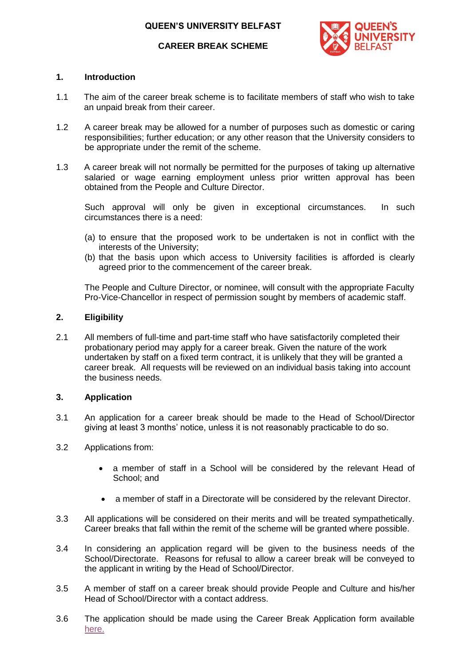

#### **CAREER BREAK SCHEME**

#### **1. Introduction**

- 1.1 The aim of the career break scheme is to facilitate members of staff who wish to take an unpaid break from their career.
- 1.2 A career break may be allowed for a number of purposes such as domestic or caring responsibilities; further education; or any other reason that the University considers to be appropriate under the remit of the scheme.
- 1.3 A career break will not normally be permitted for the purposes of taking up alternative salaried or wage earning employment unless prior written approval has been obtained from the People and Culture Director.

Such approval will only be given in exceptional circumstances. In such circumstances there is a need:

- (a) to ensure that the proposed work to be undertaken is not in conflict with the interests of the University;
- (b) that the basis upon which access to University facilities is afforded is clearly agreed prior to the commencement of the career break.

The People and Culture Director, or nominee, will consult with the appropriate Faculty Pro-Vice-Chancellor in respect of permission sought by members of academic staff.

#### **2. Eligibility**

2.1 All members of full-time and part-time staff who have satisfactorily completed their probationary period may apply for a career break. Given the nature of the work undertaken by staff on a fixed term contract, it is unlikely that they will be granted a career break. All requests will be reviewed on an individual basis taking into account the business needs.

#### **3. Application**

- 3.1 An application for a career break should be made to the Head of School/Director giving at least 3 months' notice, unless it is not reasonably practicable to do so.
- 3.2 Applications from:
	- a member of staff in a School will be considered by the relevant Head of School; and
	- a member of staff in a Directorate will be considered by the relevant Director.
- 3.3 All applications will be considered on their merits and will be treated sympathetically. Career breaks that fall within the remit of the scheme will be granted where possible.
- 3.4 In considering an application regard will be given to the business needs of the School/Directorate. Reasons for refusal to allow a career break will be conveyed to the applicant in writing by the Head of School/Director.
- 3.5 A member of staff on a career break should provide People and Culture and his/her Head of School/Director with a contact address.
- 3.6 The application should be made using the Career Break Application form available [here.](http://www.qub.ac.uk/directorates/HumanResources/annual-family-other-leave/work-life-balance-policies/)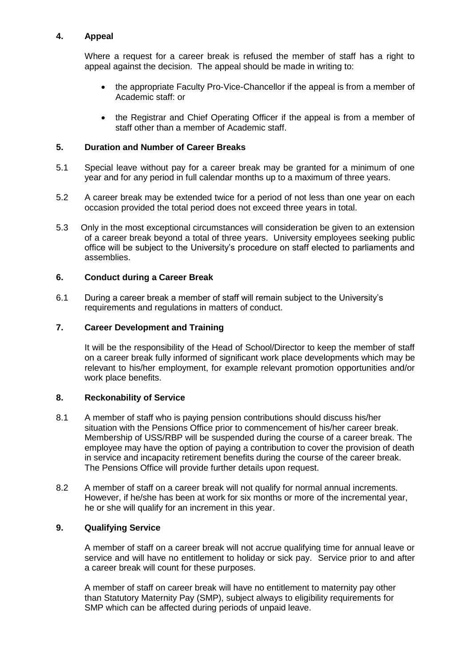# **4. Appeal**

Where a request for a career break is refused the member of staff has a right to appeal against the decision. The appeal should be made in writing to:

- the appropriate Faculty Pro-Vice-Chancellor if the appeal is from a member of Academic staff: or
- the Registrar and Chief Operating Officer if the appeal is from a member of staff other than a member of Academic staff.

## **5. Duration and Number of Career Breaks**

- 5.1 Special leave without pay for a career break may be granted for a minimum of one year and for any period in full calendar months up to a maximum of three years.
- 5.2 A career break may be extended twice for a period of not less than one year on each occasion provided the total period does not exceed three years in total.
- 5.3 Only in the most exceptional circumstances will consideration be given to an extension of a career break beyond a total of three years. University employees seeking public office will be subject to the University's procedure on staff elected to parliaments and assemblies.

#### **6. Conduct during a Career Break**

6.1 During a career break a member of staff will remain subject to the University's requirements and regulations in matters of conduct.

### **7. Career Development and Training**

It will be the responsibility of the Head of School/Director to keep the member of staff on a career break fully informed of significant work place developments which may be relevant to his/her employment, for example relevant promotion opportunities and/or work place benefits.

### **8. Reckonability of Service**

- 8.1 A member of staff who is paying pension contributions should discuss his/her situation with the Pensions Office prior to commencement of his/her career break. Membership of USS/RBP will be suspended during the course of a career break. The employee may have the option of paying a contribution to cover the provision of death in service and incapacity retirement benefits during the course of the career break. The Pensions Office will provide further details upon request.
- 8.2 A member of staff on a career break will not qualify for normal annual increments. However, if he/she has been at work for six months or more of the incremental year, he or she will qualify for an increment in this year.

## **9. Qualifying Service**

A member of staff on a career break will not accrue qualifying time for annual leave or service and will have no entitlement to holiday or sick pay. Service prior to and after a career break will count for these purposes.

A member of staff on career break will have no entitlement to maternity pay other than Statutory Maternity Pay (SMP), subject always to eligibility requirements for SMP which can be affected during periods of unpaid leave.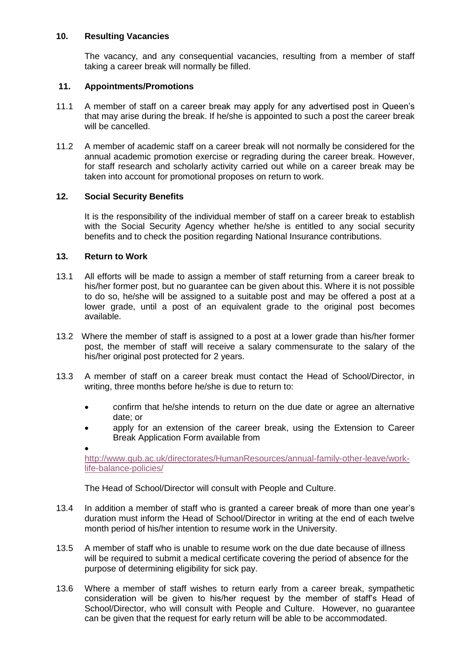### **10. Resulting Vacancies**

The vacancy, and any consequential vacancies, resulting from a member of staff taking a career break will normally be filled.

#### **11. Appointments/Promotions**

- 11.1 A member of staff on a career break may apply for any advertised post in Queen's that may arise during the break. If he/she is appointed to such a post the career break will be cancelled.
- 11.2 A member of academic staff on a career break will not normally be considered for the annual academic promotion exercise or regrading during the career break. However, for staff research and scholarly activity carried out while on a career break may be taken into account for promotional proposes on return to work.

### **12. Social Security Benefits**

It is the responsibility of the individual member of staff on a career break to establish with the Social Security Agency whether he/she is entitled to any social security benefits and to check the position regarding National Insurance contributions.

#### **13. Return to Work**

- 13.1 All efforts will be made to assign a member of staff returning from a career break to his/her former post, but no guarantee can be given about this. Where it is not possible to do so, he/she will be assigned to a suitable post and may be offered a post at a lower grade, until a post of an equivalent grade to the original post becomes available.
- 13.2 Where the member of staff is assigned to a post at a lower grade than his/her former post, the member of staff will receive a salary commensurate to the salary of the his/her original post protected for 2 years.
- 13.3 A member of staff on a career break must contact the Head of School/Director, in writing, three months before he/she is due to return to:
	- confirm that he/she intends to return on the due date or agree an alternative date; or
	- apply for an extension of the career break, using the Extension to Career Break Application Form available from

 $\bullet$ [http://www.qub.ac.uk/directorates/HumanResources/annual-family-other-leave/work](http://www.qub.ac.uk/directorates/HumanResources/annual-family-other-leave/work-life-balance-policies/)[life-balance-policies/](http://www.qub.ac.uk/directorates/HumanResources/annual-family-other-leave/work-life-balance-policies/)

The Head of School/Director will consult with People and Culture.

- 13.4 In addition a member of staff who is granted a career break of more than one year's duration must inform the Head of School/Director in writing at the end of each twelve month period of his/her intention to resume work in the University.
- 13.5 A member of staff who is unable to resume work on the due date because of illness will be required to submit a medical certificate covering the period of absence for the purpose of determining eligibility for sick pay.
- 13.6 Where a member of staff wishes to return early from a career break, sympathetic consideration will be given to his/her request by the member of staff's Head of School/Director, who will consult with People and Culture. However, no guarantee can be given that the request for early return will be able to be accommodated.